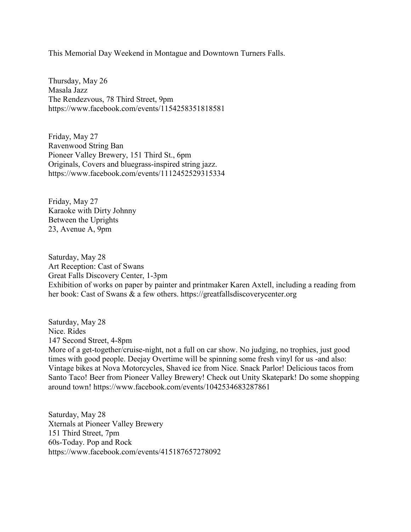This Memorial Day Weekend in Montague and Downtown Turners Falls.

Thursday, May 26 Masala Jazz The Rendezvous, 78 Third Street, 9pm https://www.facebook.com/events/1154258351818581

Friday, May 27 Ravenwood String Ban Pioneer Valley Brewery, 151 Third St., 6pm Originals, Covers and bluegrass-inspired string jazz. https://www.facebook.com/events/1112452529315334

Friday, May 27 Karaoke with Dirty Johnny Between the Uprights 23, Avenue A, 9pm

Saturday, May 28 Art Reception: Cast of Swans Great Falls Discovery Center, 1-3pm Exhibition of works on paper by painter and printmaker Karen Axtell, including a reading from her book: Cast of Swans & a few others. https://greatfallsdiscoverycenter.org

Saturday, May 28 Nice. Rides 147 Second Street, 4-8pm More of a get-together/cruise-night, not a full on car show. No judging, no trophies, just good times with good people. Deejay Overtime will be spinning some fresh vinyl for us -and also: Vintage bikes at Nova Motorcycles, Shaved ice from Nice. Snack Parlor! Delicious tacos from Santo Taco! Beer from Pioneer Valley Brewery! Check out Unity Skatepark! Do some shopping around town! https://www.facebook.com/events/1042534683287861

Saturday, May 28 Xternals at Pioneer Valley Brewery 151 Third Street, 7pm 60s-Today. Pop and Rock https://www.facebook.com/events/415187657278092